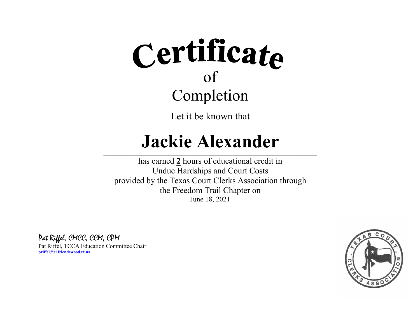Let it be known that

#### **Jackie Alexander**

 $\_$  , and the state of the state of the state of the state of the state of the state of the state of the state of the state of the state of the state of the state of the state of the state of the state of the state of the

has earned **2** hours of educational credit in Undue Hardships and Court Costs provided by the Texas Court Clerks Association through the Freedom Trail Chapter on June 18, 2021

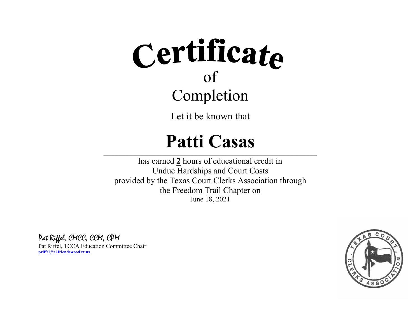Let it be known that

#### **Patti Casas**

 $\_$  , and the state of the state of the state of the state of the state of the state of the state of the state of the state of the state of the state of the state of the state of the state of the state of the state of the

has earned **2** hours of educational credit in Undue Hardships and Court Costs provided by the Texas Court Clerks Association through the Freedom Trail Chapter on June 18, 2021

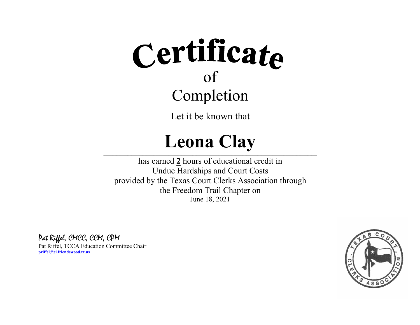Let it be known that

#### **Leona Clay**

 $\_$  , and the state of the state of the state of the state of the state of the state of the state of the state of the state of the state of the state of the state of the state of the state of the state of the state of the

has earned **2** hours of educational credit in Undue Hardships and Court Costs provided by the Texas Court Clerks Association through the Freedom Trail Chapter on June 18, 2021

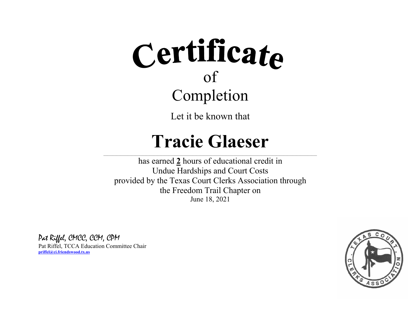Let it be known that

#### **Tracie Glaeser**

 $\_$  , and the state of the state of the state of the state of the state of the state of the state of the state of the state of the state of the state of the state of the state of the state of the state of the state of the

has earned **2** hours of educational credit in Undue Hardships and Court Costs provided by the Texas Court Clerks Association through the Freedom Trail Chapter on June 18, 2021

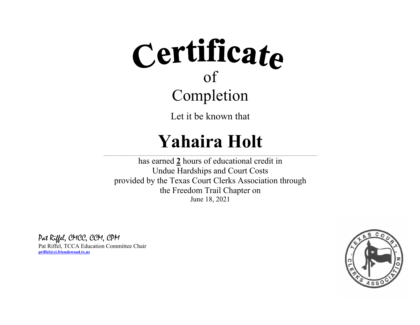Let it be known that

#### **Yahaira Holt**

 $\_$  , and the state of the state of the state of the state of the state of the state of the state of the state of the state of the state of the state of the state of the state of the state of the state of the state of the

has earned **2** hours of educational credit in Undue Hardships and Court Costs provided by the Texas Court Clerks Association through the Freedom Trail Chapter on June 18, 2021

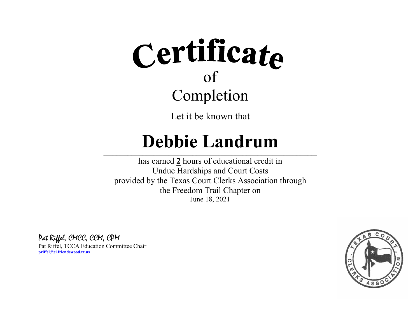Let it be known that

#### **Debbie Landrum**

 $\mathcal{L}_\text{max} = \mathcal{L}_\text{max} = \mathcal{L}_\text{max} = \mathcal{L}_\text{max} = \mathcal{L}_\text{max} = \mathcal{L}_\text{max} = \mathcal{L}_\text{max}$ 

 $\mathcal{L}_\text{max} = \mathcal{L}_\text{max} = \mathcal{L}_\text{max} = \mathcal{L}_\text{max} = \mathcal{L}_\text{max} = \mathcal{L}_\text{max} = \mathcal{L}_\text{max}$ 

has earned **2** hours of educational credit in Undue Hardships and Court Costs provided by the Texas Court Clerks Association through the Freedom Trail Chapter on June 18, 2021

Pat Riffel, CMCC, CCM, CPM Pat Riffel, TCCA Education Committee Chair **priffel@ci.friendswood.tx.us**

 $\frac{1}{2}$  , and the set of the set of the set of the set of the set of the set of the set of the set of the set of the set of the set of the set of the set of the set of the set of the set of the set of the set of the set

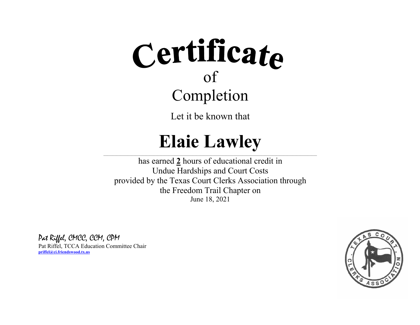Let it be known that

#### **Elaie Lawley**

 $\_$  , and the state of the state of the state of the state of the state of the state of the state of the state of the state of the state of the state of the state of the state of the state of the state of the state of the

has earned **2** hours of educational credit in Undue Hardships and Court Costs provided by the Texas Court Clerks Association through the Freedom Trail Chapter on June 18, 2021

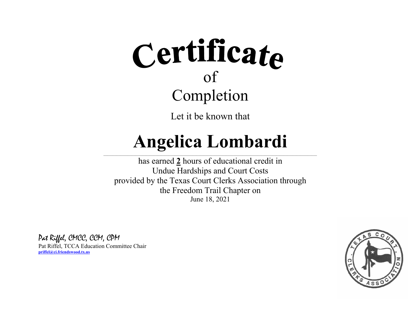

Let it be known that

#### **Angelica Lombardi**  $\_$  , and the state of the state of the state of the state of the state of the state of the state of the state of the state of the state of the state of the state of the state of the state of the state of the state of the

has earned **2** hours of educational credit in Undue Hardships and Court Costs provided by the Texas Court Clerks Association through the Freedom Trail Chapter on June 18, 2021

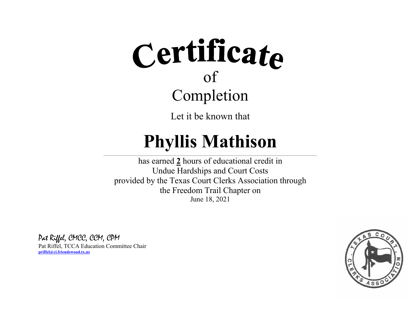Let it be known that

### **Phyllis Mathison**

 $\_$  , and the state of the state of the state of the state of the state of the state of the state of the state of the state of the state of the state of the state of the state of the state of the state of the state of the

has earned **2** hours of educational credit in Undue Hardships and Court Costs provided by the Texas Court Clerks Association through the Freedom Trail Chapter on June 18, 2021

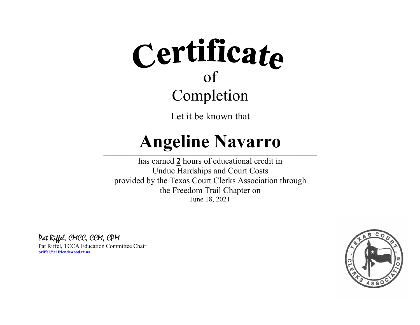Let it be known that

#### **Angeline Navarro**

 $\_$  , and the state of the state of the state of the state of the state of the state of the state of the state of the state of the state of the state of the state of the state of the state of the state of the state of the

has earned **2** hours of educational credit in Undue Hardships and Court Costs provided by the Texas Court Clerks Association through the Freedom Trail Chapter on June 18, 2021

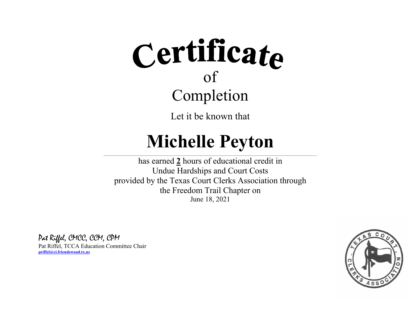Let it be known that

#### **Michelle Peyton**

 $\_$  , and the state of the state of the state of the state of the state of the state of the state of the state of the state of the state of the state of the state of the state of the state of the state of the state of the

has earned **2** hours of educational credit in Undue Hardships and Court Costs provided by the Texas Court Clerks Association through the Freedom Trail Chapter on June 18, 2021

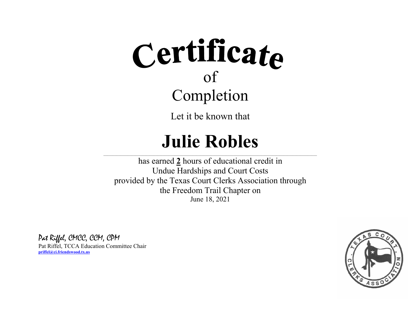Let it be known that

#### **Julie Robles**

 $\_$  , and the state of the state of the state of the state of the state of the state of the state of the state of the state of the state of the state of the state of the state of the state of the state of the state of the

has earned **2** hours of educational credit in Undue Hardships and Court Costs provided by the Texas Court Clerks Association through the Freedom Trail Chapter on June 18, 2021

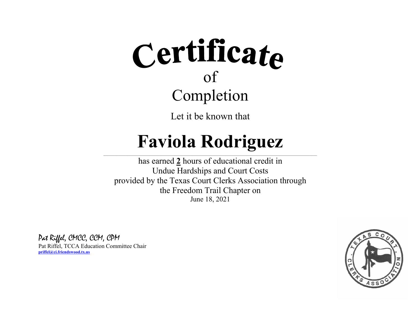Let it be known that

### **Faviola Rodriguez**

 $\_$  , and the state of the state of the state of the state of the state of the state of the state of the state of the state of the state of the state of the state of the state of the state of the state of the state of the

has earned **2** hours of educational credit in Undue Hardships and Court Costs provided by the Texas Court Clerks Association through the Freedom Trail Chapter on June 18, 2021

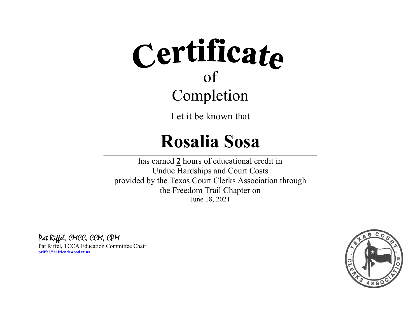Let it be known that

#### **Rosalia Sosa**

 $\_$  , and the state of the state of the state of the state of the state of the state of the state of the state of the state of the state of the state of the state of the state of the state of the state of the state of the

has earned **2** hours of educational credit in Undue Hardships and Court Costs provided by the Texas Court Clerks Association through the Freedom Trail Chapter on June 18, 2021

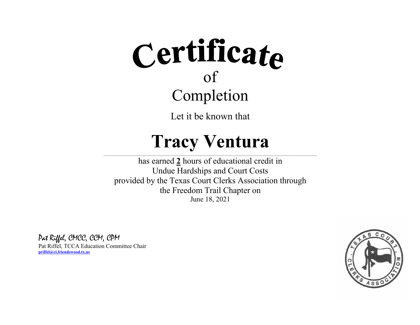Let it be known that

#### **Tracy Ventura**

 $\_$  , and the state of the state of the state of the state of the state of the state of the state of the state of the state of the state of the state of the state of the state of the state of the state of the state of the

has earned **2** hours of educational credit in Undue Hardships and Court Costs provided by the Texas Court Clerks Association through the Freedom Trail Chapter on June 18, 2021

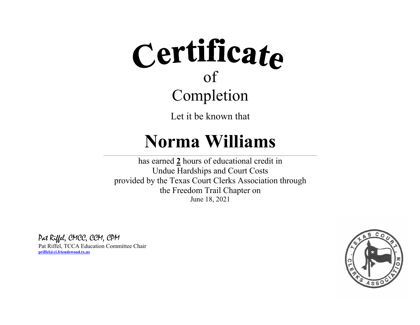Let it be known that

#### **Norma Williams**

 $\_$  , and the state of the state of the state of the state of the state of the state of the state of the state of the state of the state of the state of the state of the state of the state of the state of the state of the

has earned **2** hours of educational credit in Undue Hardships and Court Costs provided by the Texas Court Clerks Association through the Freedom Trail Chapter on June 18, 2021